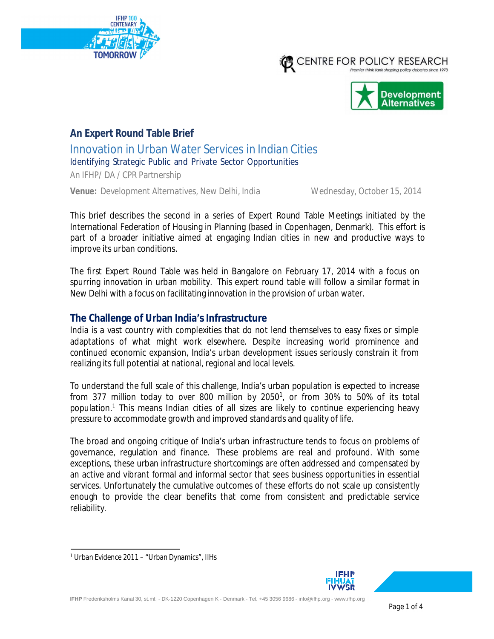





# **An Expert Round Table Brief**

Innovation in Urban Water Services in Indian Cities

Identifying Strategic Public and Private Sector Opportunities

An IFHP/ DA / CPR Partnership

**Venue:** Development Alternatives, New Delhi, India Wednesday, October 15, 2014

This brief describes the second in a series of Expert Round Table Meetings initiated by the International Federation of Housing in Planning (based in Copenhagen, Denmark). This effort is part of a broader initiative aimed at engaging Indian cities in new and productive ways to improve its urban conditions.

The first Expert Round Table was held in Bangalore on February 17, 2014 with a focus on spurring innovation in urban mobility. This expert round table will follow a similar format in New Delhi with a focus on facilitating innovation in the provision of urban water.

### **The Challenge of Urban India's Infrastructure**

India is a vast country with complexities that do not lend themselves to easy fixes or simple adaptations of what might work elsewhere. Despite increasing world prominence and continued economic expansion, India's urban development issues seriously constrain it from realizing its full potential at national, regional and local levels.

To understand the full scale of this challenge, India's urban population is expected to increase from 377 million today to over 800 million by 2050<sup>1</sup>, or from 30% to 50% of its total population.<sup>1</sup> This means Indian cities of all sizes are likely to continue experiencing heavy pressure to accommodate growth and improved standards and quality of life.

The broad and ongoing critique of India's urban infrastructure tends to focus on problems of governance, regulation and finance. These problems are real and profound. With some exceptions, these urban infrastructure shortcomings are often addressed and compensated by an active and vibrant formal and informal sector that sees business opportunities in essential services. Unfortunately the cumulative outcomes of these efforts do not scale up consistently enough to provide the clear benefits that come from consistent and predictable service reliability.



<sup>1</sup> Urban Evidence 2011 – "Urban Dynamics", IIHs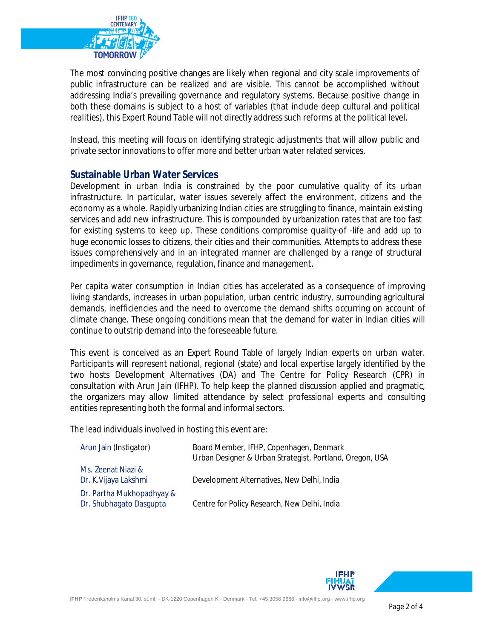

The most convincing positive changes are likely when regional and city scale improvements of public infrastructure can be realized and are visible. This cannot be accomplished without addressing India's prevailing governance and regulatory systems. Because positive change in both these domains is subject to a host of variables (that include deep cultural and political realities), this Expert Round Table will not directly address such reforms at the political level.

Instead, this meeting will focus on identifying strategic adjustments that will allow public and private sector innovations to offer more and better urban water related services.

#### **Sustainable Urban Water Services**

Development in urban India is constrained by the poor cumulative quality of its urban infrastructure. In particular, water issues severely affect the environment, citizens and the economy as a whole. Rapidly urbanizing Indian cities are struggling to finance, maintain existing services and add new infrastructure. This is compounded by urbanization rates that are too fast for existing systems to keep up. These conditions compromise quality-of -life and add up to huge economic losses to citizens, their cities and their communities. Attempts to address these issues comprehensively and in an integrated manner are challenged by a range of structural impediments in governance, regulation, finance and management.

Per capita water consumption in Indian cities has accelerated as a consequence of improving living standards, increases in urban population, urban centric industry, surrounding agricultural demands, inefficiencies and the need to overcome the demand shifts occurring on account of climate change. These ongoing conditions mean that the demand for water in Indian cities will continue to outstrip demand into the foreseeable future.

This event is conceived as an Expert Round Table of largely Indian experts on urban water. Participants will represent national, regional (state) and local expertise largely identified by the two hosts Development Alternatives (DA) and The Centre for Policy Research (CPR) in consultation with Arun Jain (IFHP). To help keep the planned discussion applied and pragmatic, the organizers may allow limited attendance by select professional experts and consulting entities representing both the formal and informal sectors.

The lead individuals involved in hosting this event are:

| Arun Jain (Instigator)                               | Board Member, IFHP, Copenhagen, Denmark<br>Urban Designer & Urban Strategist, Portland, Oregon, USA |
|------------------------------------------------------|-----------------------------------------------------------------------------------------------------|
| Ms. Zeenat Niazi &<br>Dr. K.Vijaya Lakshmi           | Development Alternatives, New Delhi, India                                                          |
| Dr. Partha Mukhopadhyay &<br>Dr. Shubhagato Dasgupta | Centre for Policy Research, New Delhi, India                                                        |

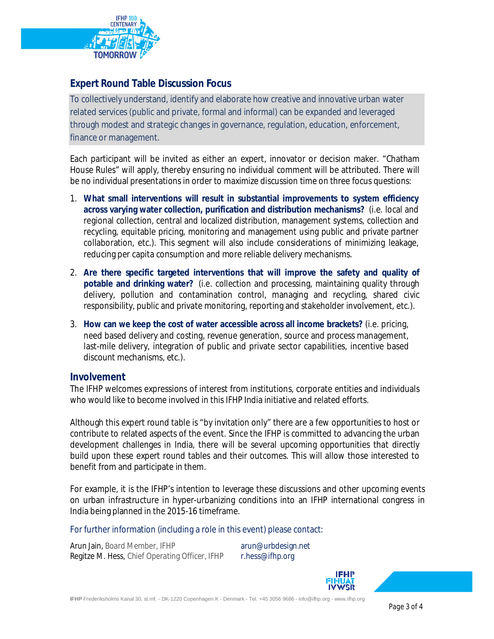

# **Expert Round Table Discussion Focus**

To collectively understand, identify and elaborate how creative and innovative urban water related services (public and private, formal and informal) can be expanded and leveraged through modest and strategic changes in governance, regulation, education, enforcement, finance or management.

Each participant will be invited as either an expert, innovator or decision maker. "Chatham House Rules" will apply, thereby ensuring no individual comment will be attributed. There will be no individual presentations in order to maximize discussion time on three focus questions:

- 1. **What small interventions will result in substantial improvements to system efficiency across varying water collection, purification and distribution mechanisms?** (i.e. local and regional collection, central and localized distribution, management systems, collection and recycling, equitable pricing, monitoring and management using public and private partner collaboration, etc.). This segment will also include considerations of minimizing leakage, reducing per capita consumption and more reliable delivery mechanisms.
- 2. **Are there specific targeted interventions that will improve the safety and quality of potable and drinking water?** (i.e. collection and processing, maintaining quality through delivery, pollution and contamination control, managing and recycling, shared civic responsibility, public and private monitoring, reporting and stakeholder involvement, etc.).
- 3. **How can we keep the cost of water accessible across all income brackets?** (i.e. pricing, need based delivery and costing, revenue generation, source and process management, last-mile delivery, integration of public and private sector capabilities, incentive based discount mechanisms, etc.).

#### **Involvement**

The IFHP welcomes expressions of interest from institutions, corporate entities and individuals who would like to become involved in this IFHP India initiative and related efforts.

Although this expert round table is "by invitation only" there are a few opportunities to host or contribute to related aspects of the event. Since the IFHP is committed to advancing the urban development challenges in India, there will be several upcoming opportunities that directly build upon these expert round tables and their outcomes. This will allow those interested to benefit from and participate in them.

For example, it is the IFHP's intention to leverage these discussions and other upcoming events on urban infrastructure in hyper-urbanizing conditions into an IFHP international congress in India being planned in the 2015-16 timeframe.

For further information (including a role in this event) please contact:

Arun Jain, Board Member, IFHP arun@urbdesign.net Regitze M. Hess, Chief Operating Officer, IFHP r.hess@ifhp.org